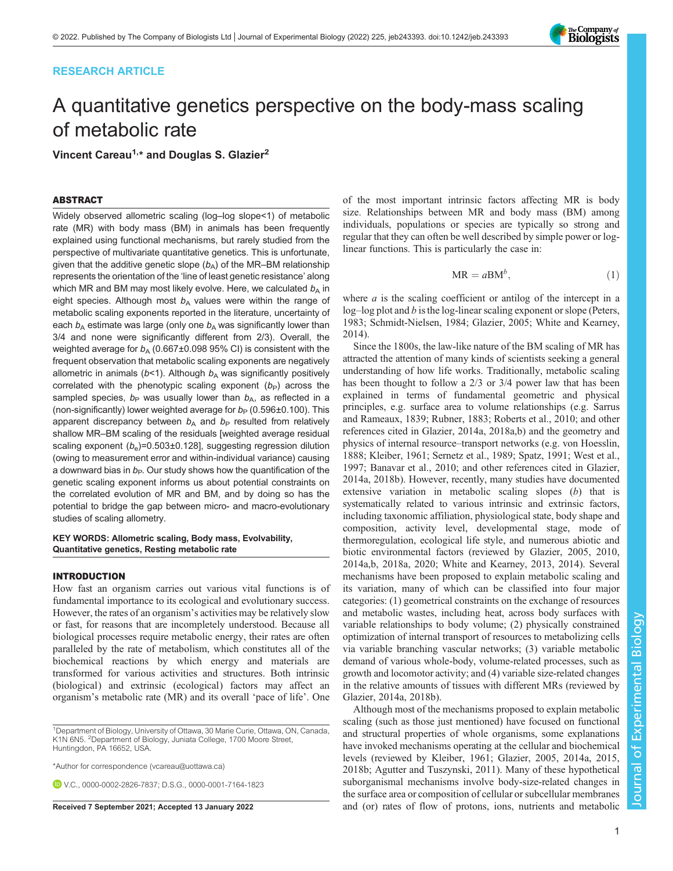# RESEARCH ARTICLE

# A quantitative genetics perspective on the body-mass scaling of metabolic rate

Vincent Careau<sup>1,\*</sup> and Douglas S. Glazier<sup>2</sup>

## ABSTRACT

Widely observed allometric scaling (log–log slope<1) of metabolic rate (MR) with body mass (BM) in animals has been frequently explained using functional mechanisms, but rarely studied from the perspective of multivariate quantitative genetics. This is unfortunate, given that the additive genetic slope  $(b_A)$  of the MR–BM relationship represents the orientation of the 'line of least genetic resistance' along which MR and BM may most likely evolve. Here, we calculated  $b_A$  in eight species. Although most  $b<sub>A</sub>$  values were within the range of metabolic scaling exponents reported in the literature, uncertainty of each  $b_A$  estimate was large (only one  $b_A$  was significantly lower than 3/4 and none were significantly different from 2/3). Overall, the weighted average for  $b_A$  (0.667±0.098 95% CI) is consistent with the frequent observation that metabolic scaling exponents are negatively allometric in animals ( $b$ <1). Although  $b_A$  was significantly positively correlated with the phenotypic scaling exponent  $(b<sub>P</sub>)$  across the sampled species,  $b_P$  was usually lower than  $b_A$ , as reflected in a (non-significantly) lower weighted average for  $b_P$  (0.596±0.100). This apparent discrepancy between  $b_A$  and  $b_P$  resulted from relatively shallow MR–BM scaling of the residuals [weighted average residual scaling exponent  $(b_e)$ =0.503±0.128], suggesting regression dilution (owing to measurement error and within-individual variance) causing a downward bias in  $b<sub>P</sub>$ . Our study shows how the quantification of the genetic scaling exponent informs us about potential constraints on the correlated evolution of MR and BM, and by doing so has the potential to bridge the gap between micro- and macro-evolutionary studies of scaling allometry.

## KEY WORDS: Allometric scaling, Body mass, Evolvability, Quantitative genetics, Resting metabolic rate

#### INTRODUCTION

How fast an organism carries out various vital functions is of fundamental importance to its ecological and evolutionary success. However, the rates of an organism's activities may be relatively slow or fast, for reasons that are incompletely understood. Because all biological processes require metabolic energy, their rates are often paralleled by the rate of metabolism, which constitutes all of the biochemical reactions by which energy and materials are transformed for various activities and structures. Both intrinsic (biological) and extrinsic (ecological) factors may affect an organism's metabolic rate (MR) and its overall 'pace of life'. One

V.C., [0000-0002-2826-7837;](http://orcid.org/0000-0002-2826-7837) D.S.G., [0000-0001-7164-1823](http://orcid.org/0000-0001-7164-1823)

of the most important intrinsic factors affecting MR is body size. Relationships between MR and body mass (BM) among individuals, populations or species are typically so strong and regular that they can often be well described by simple power or loglinear functions. This is particularly the case in:

$$
MR = aBM^{b}, \qquad (1)
$$

where  $a$  is the scaling coefficient or antilog of the intercept in a log–log plot and b is the log-linear scaling exponent or slope ([Peters,](#page-9-0) [1983;](#page-9-0) [Schmidt-Nielsen, 1984](#page-10-0); [Glazier, 2005;](#page-9-0) [White and Kearney,](#page-10-0) [2014\)](#page-10-0).

Since the 1800s, the law-like nature of the BM scaling of MR has attracted the attention of many kinds of scientists seeking a general understanding of how life works. Traditionally, metabolic scaling has been thought to follow a 2/3 or 3/4 power law that has been explained in terms of fundamental geometric and physical principles, e.g. surface area to volume relationships (e.g. [Sarrus](#page-10-0) [and Rameaux, 1839; Rubner, 1883; Roberts et al., 2010](#page-10-0); and other references cited in [Glazier, 2014a](#page-9-0), [2018a](#page-9-0),[b](#page-9-0)) and the geometry and physics of internal resource–transport networks (e.g. [von Hoesslin,](#page-10-0) [1888;](#page-10-0) [Kleiber, 1961](#page-9-0); [Sernetz et al., 1989; Spatz, 1991; West et al.,](#page-10-0) [1997;](#page-10-0) [Banavar et al., 2010](#page-8-0); and other references cited in [Glazier,](#page-9-0) [2014a](#page-9-0), [2018b\)](#page-9-0). However, recently, many studies have documented extensive variation in metabolic scaling slopes (b) that is systematically related to various intrinsic and extrinsic factors, including taxonomic affiliation, physiological state, body shape and composition, activity level, developmental stage, mode of thermoregulation, ecological life style, and numerous abiotic and biotic environmental factors (reviewed by [Glazier, 2005, 2010,](#page-9-0) [2014a](#page-9-0),[b](#page-9-0), [2018a](#page-9-0), [2020](#page-9-0); [White and Kearney, 2013](#page-10-0), [2014](#page-10-0)). Several mechanisms have been proposed to explain metabolic scaling and its variation, many of which can be classified into four major categories: (1) geometrical constraints on the exchange of resources and metabolic wastes, including heat, across body surfaces with variable relationships to body volume; (2) physically constrained optimization of internal transport of resources to metabolizing cells via variable branching vascular networks; (3) variable metabolic demand of various whole-body, volume-related processes, such as growth and locomotor activity; and (4) variable size-related changes in the relative amounts of tissues with different MRs (reviewed by [Glazier, 2014a, 2018b\)](#page-9-0).

Although most of the mechanisms proposed to explain metabolic scaling (such as those just mentioned) have focused on functional and structural properties of whole organisms, some explanations have invoked mechanisms operating at the cellular and biochemical levels (reviewed by [Kleiber, 1961](#page-9-0); [Glazier, 2005](#page-9-0), [2014a](#page-9-0), [2015,](#page-9-0) [2018b;](#page-9-0) [Agutter and Tuszynski, 2011\)](#page-8-0). Many of these hypothetical suborganismal mechanisms involve body-size-related changes in the surface area or composition of cellular or subcellular membranes Received 7 September 2021; Accepted 13 January 2022 and (or) rates of flow of protons, ions, nutrients and metabolic



<sup>&</sup>lt;sup>1</sup>Department of Biology, University of Ottawa, 30 Marie Curie, Ottawa, ON, Canada, K1N 6N5. <sup>2</sup>Department of Biology, Juniata College, 1700 Moore Street, Huntingdon, PA 16652, USA.

<sup>\*</sup>Author for correspondence [\(vcareau@uottawa.ca](mailto:vcareau@uottawa.ca))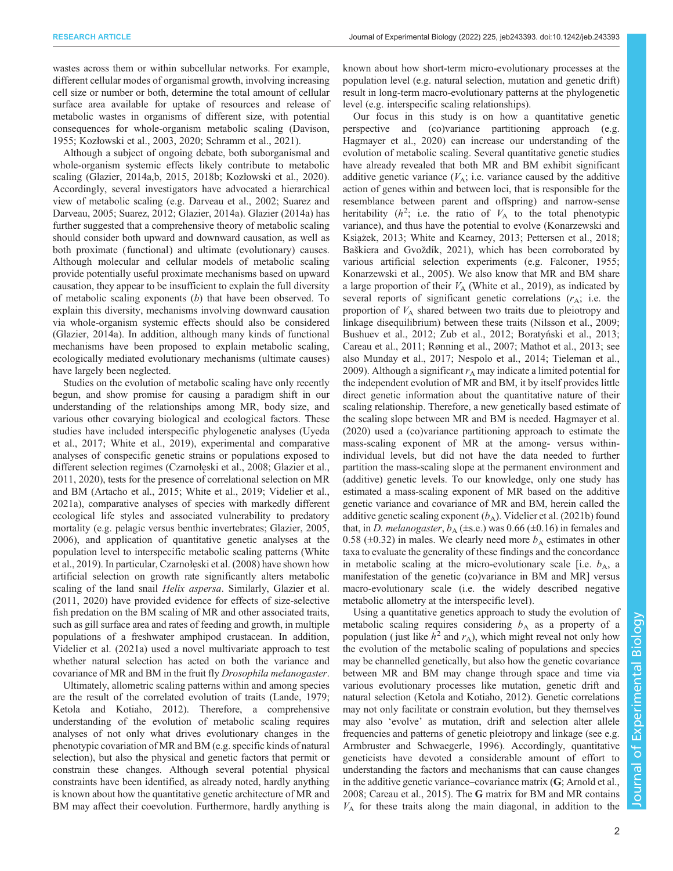wastes across them or within subcellular networks. For example, different cellular modes of organismal growth, involving increasing cell size or number or both, determine the total amount of cellular surface area available for uptake of resources and release of metabolic wastes in organisms of different size, with potential consequences for whole-organism metabolic scaling [\(Davison,](#page-9-0) [1955](#page-9-0); Kozł[owski et al., 2003](#page-9-0), [2020](#page-9-0); [Schramm et al., 2021\)](#page-10-0).

Although a subject of ongoing debate, both suborganismal and whole-organism systemic effects likely contribute to metabolic scaling [\(Glazier, 2014a,b](#page-9-0), [2015](#page-9-0), [2018b;](#page-9-0) Kozł[owski et al., 2020\)](#page-9-0). Accordingly, several investigators have advocated a hierarchical view of metabolic scaling (e.g. [Darveau et al., 2002](#page-9-0); [Suarez and](#page-10-0) [Darveau, 2005](#page-10-0); [Suarez, 2012;](#page-10-0) [Glazier, 2014a\)](#page-9-0). [Glazier \(2014a\)](#page-9-0) has further suggested that a comprehensive theory of metabolic scaling should consider both upward and downward causation, as well as both proximate (functional) and ultimate (evolutionary) causes. Although molecular and cellular models of metabolic scaling provide potentially useful proximate mechanisms based on upward causation, they appear to be insufficient to explain the full diversity of metabolic scaling exponents  $(b)$  that have been observed. To explain this diversity, mechanisms involving downward causation via whole-organism systemic effects should also be considered [\(Glazier, 2014a\)](#page-9-0). In addition, although many kinds of functional mechanisms have been proposed to explain metabolic scaling, ecologically mediated evolutionary mechanisms (ultimate causes) have largely been neglected.

Studies on the evolution of metabolic scaling have only recently begun, and show promise for causing a paradigm shift in our understanding of the relationships among MR, body size, and various other covarying biological and ecological factors. These studies have included interspecific phylogenetic analyses ([Uyeda](#page-10-0) [et al., 2017; White et al., 2019](#page-10-0)), experimental and comparative analyses of conspecific genetic strains or populations exposed to different selection regimes (Czarnołę[ski et al., 2008; Glazier et al.,](#page-9-0) [2011](#page-9-0), [2020\)](#page-9-0), tests for the presence of correlational selection on MR and BM ([Artacho et al., 2015](#page-8-0); [White et al., 2019; Videlier et al.,](#page-10-0) [2021a](#page-10-0)), comparative analyses of species with markedly different ecological life styles and associated vulnerability to predatory mortality (e.g. pelagic versus benthic invertebrates; [Glazier, 2005,](#page-9-0) [2006](#page-9-0)), and application of quantitative genetic analyses at the population level to interspecific metabolic scaling patterns [\(White](#page-10-0) [et al., 2019\)](#page-10-0). In particular, Czarnołę[ski et al. \(2008\)](#page-9-0) have shown how artificial selection on growth rate significantly alters metabolic scaling of the land snail *Helix aspersa*. Similarly, [Glazier et al.](#page-9-0) [\(2011](#page-9-0), [2020\)](#page-9-0) have provided evidence for effects of size-selective fish predation on the BM scaling of MR and other associated traits, such as gill surface area and rates of feeding and growth, in multiple populations of a freshwater amphipod crustacean. In addition, [Videlier et al. \(2021a\)](#page-10-0) used a novel multivariate approach to test whether natural selection has acted on both the variance and covariance of MR and BM in the fruit fly Drosophila melanogaster.

Ultimately, allometric scaling patterns within and among species are the result of the correlated evolution of traits [\(Lande, 1979](#page-9-0); [Ketola and Kotiaho, 2012\)](#page-9-0). Therefore, a comprehensive understanding of the evolution of metabolic scaling requires analyses of not only what drives evolutionary changes in the phenotypic covariation of MR and BM (e.g. specific kinds of natural selection), but also the physical and genetic factors that permit or constrain these changes. Although several potential physical constraints have been identified, as already noted, hardly anything is known about how the quantitative genetic architecture of MR and BM may affect their coevolution. Furthermore, hardly anything is known about how short-term micro-evolutionary processes at the population level (e.g. natural selection, mutation and genetic drift) result in long-term macro-evolutionary patterns at the phylogenetic level (e.g. interspecific scaling relationships).

Our focus in this study is on how a quantitative genetic perspective and (co)variance partitioning approach (e.g. [Hagmayer et al., 2020\)](#page-9-0) can increase our understanding of the evolution of metabolic scaling. Several quantitative genetic studies have already revealed that both MR and BM exhibit significant additive genetic variance  $(V_A; i.e.$  variance caused by the additive action of genes within and between loci, that is responsible for the resemblance between parent and offspring) and narrow-sense heritability  $(h^2)$ ; i.e. the ratio of  $V_A$  to the total phenotypic variance), and thus have the potential to evolve ([Konarzewski and](#page-9-0) Książ[ek, 2013](#page-9-0); [White and Kearney, 2013](#page-10-0); [Pettersen et al., 2018](#page-9-0); Baš[kiera and Gvo](#page-8-0)ždík, 2021), which has been corroborated by various artificial selection experiments (e.g. [Falconer, 1955](#page-9-0); [Konarzewski et al., 2005](#page-9-0)). We also know that MR and BM share a large proportion of their  $V_A$  ([White et al., 2019\)](#page-10-0), as indicated by several reports of significant genetic correlations  $(r_A; i.e.$  the proportion of  $V_A$  shared between two traits due to pleiotropy and linkage disequilibrium) between these traits ([Nilsson et al., 2009](#page-9-0); [Bushuev et al., 2012](#page-8-0); [Zub et al., 2012;](#page-10-0) Boratyń[ski et al., 2013](#page-8-0); [Careau et al., 2011](#page-8-0); [Rønning et al., 2007](#page-10-0); [Mathot et al., 2013;](#page-9-0) see also [Munday et al., 2017](#page-9-0); [Nespolo et al., 2014;](#page-9-0) [Tieleman et al.,](#page-10-0) [2009\)](#page-10-0). Although a significant  $r_A$  may indicate a limited potential for the independent evolution of MR and BM, it by itself provides little direct genetic information about the quantitative nature of their scaling relationship. Therefore, a new genetically based estimate of the scaling slope between MR and BM is needed. [Hagmayer et al.](#page-9-0) [\(2020\)](#page-9-0) used a (co)variance partitioning approach to estimate the mass-scaling exponent of MR at the among- versus withinindividual levels, but did not have the data needed to further partition the mass-scaling slope at the permanent environment and (additive) genetic levels. To our knowledge, only one study has estimated a mass-scaling exponent of MR based on the additive genetic variance and covariance of MR and BM, herein called the additive genetic scaling exponent  $(b_A)$ . [Videlier et al. \(2021b\)](#page-10-0) found that, in D. melanogaster,  $b_A$  ( $\pm$ s.e.) was 0.66 ( $\pm$ 0.16) in females and 0.58 ( $\pm$ 0.32) in males. We clearly need more  $b_A$  estimates in other taxa to evaluate the generality of these findings and the concordance in metabolic scaling at the micro-evolutionary scale [i.e.  $b_A$ , a manifestation of the genetic (co)variance in BM and MR] versus macro-evolutionary scale (i.e. the widely described negative metabolic allometry at the interspecific level).

Using a quantitative genetics approach to study the evolution of metabolic scaling requires considering  $b<sub>A</sub>$  as a property of a population (just like  $h^2$  and  $r_A$ ), which might reveal not only how the evolution of the metabolic scaling of populations and species may be channelled genetically, but also how the genetic covariance between MR and BM may change through space and time via various evolutionary processes like mutation, genetic drift and natural selection [\(Ketola and Kotiaho, 2012\)](#page-9-0). Genetic correlations may not only facilitate or constrain evolution, but they themselves may also 'evolve' as mutation, drift and selection alter allele frequencies and patterns of genetic pleiotropy and linkage (see e.g. [Armbruster and Schwaegerle, 1996](#page-8-0)). Accordingly, quantitative geneticists have devoted a considerable amount of effort to understanding the factors and mechanisms that can cause changes in the additive genetic variance–covariance matrix (G; [Arnold et al.,](#page-8-0) [2008;](#page-8-0) [Careau et al., 2015](#page-9-0)). The G matrix for BM and MR contains  $V_A$  for these traits along the main diagonal, in addition to the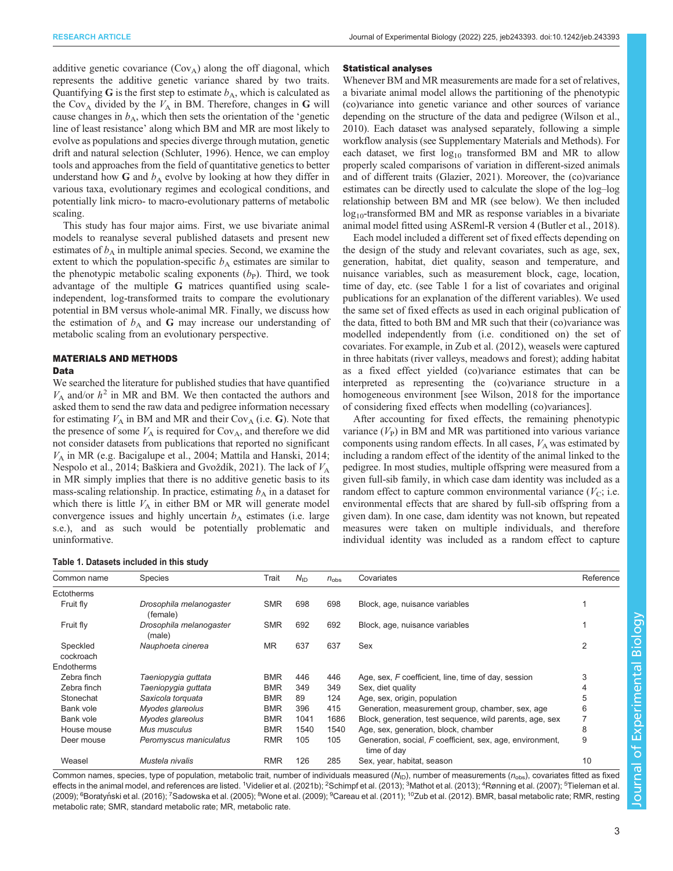<span id="page-2-0"></span>additive genetic covariance  $(Cov_A)$  along the off diagonal, which represents the additive genetic variance shared by two traits. Quantifying G is the first step to estimate  $b_A$ , which is calculated as the Cov<sub>A</sub> divided by the  $V_A$  in BM. Therefore, changes in G will cause changes in  $b_A$ , which then sets the orientation of the 'genetic line of least resistance' along which BM and MR are most likely to evolve as populations and species diverge through mutation, genetic drift and natural selection [\(Schluter, 1996\)](#page-10-0). Hence, we can employ tools and approaches from the field of quantitative genetics to better understand how  $G$  and  $b_A$  evolve by looking at how they differ in various taxa, evolutionary regimes and ecological conditions, and potentially link micro- to macro-evolutionary patterns of metabolic scaling.

This study has four major aims. First, we use bivariate animal models to reanalyse several published datasets and present new estimates of  $b_A$  in multiple animal species. Second, we examine the extent to which the population-specific  $b<sub>A</sub>$  estimates are similar to the phenotypic metabolic scaling exponents  $(b<sub>P</sub>)$ . Third, we took advantage of the multiple G matrices quantified using scaleindependent, log-transformed traits to compare the evolutionary potential in BM versus whole-animal MR. Finally, we discuss how the estimation of  $b_A$  and G may increase our understanding of metabolic scaling from an evolutionary perspective.

## MATERIALS AND METHODS

## Data

We searched the literature for published studies that have quantified  $V_A$  and/or  $h^2$  in MR and BM. We then contacted the authors and asked them to send the raw data and pedigree information necessary for estimating  $V_A$  in BM and MR and their Cov<sub>A</sub> (i.e. G). Note that the presence of some  $V_A$  is required for Cov<sub>A</sub>, and therefore we did not consider datasets from publications that reported no significant  $V_A$  in MR (e.g. [Bacigalupe et al., 2004](#page-8-0); [Mattila and Hanski, 2014](#page-9-0); [Nespolo et al., 2014](#page-9-0); Baš[kiera and Gvo](#page-8-0)ždík, 2021). The lack of  $V_A$ in MR simply implies that there is no additive genetic basis to its mass-scaling relationship. In practice, estimating  $b<sub>A</sub>$  in a dataset for which there is little  $V_A$  in either BM or MR will generate model convergence issues and highly uncertain  $b<sub>A</sub>$  estimates (i.e. large s.e.), and as such would be potentially problematic and uninformative.

Table 1. Datasets included in this study

## Statistical analyses

Whenever BM and MR measurements are made for a set of relatives, a bivariate animal model allows the partitioning of the phenotypic (co)variance into genetic variance and other sources of variance depending on the structure of the data and pedigree [\(Wilson et al.,](#page-10-0) [2010\)](#page-10-0). Each dataset was analysed separately, following a simple workflow analysis (see Supplementary Materials and Methods). For each dataset, we first  $log_{10}$  transformed BM and MR to allow properly scaled comparisons of variation in different-sized animals and of different traits [\(Glazier, 2021\)](#page-9-0). Moreover, the (co)variance estimates can be directly used to calculate the slope of the log–log relationship between BM and MR (see below). We then included  $log_{10}$ -transformed BM and MR as response variables in a bivariate animal model fitted using ASReml-R version 4 [\(Butler et al., 2018\)](#page-8-0).

Each model included a different set of fixed effects depending on the design of the study and relevant covariates, such as age, sex, generation, habitat, diet quality, season and temperature, and nuisance variables, such as measurement block, cage, location, time of day, etc. (see Table 1 for a list of covariates and original publications for an explanation of the different variables). We used the same set of fixed effects as used in each original publication of the data, fitted to both BM and MR such that their (co)variance was modelled independently from (i.e. conditioned on) the set of covariates. For example, in [Zub et al. \(2012\),](#page-10-0) weasels were captured in three habitats (river valleys, meadows and forest); adding habitat as a fixed effect yielded (co)variance estimates that can be interpreted as representing the (co)variance structure in a homogeneous environment [see [Wilson, 2018](#page-10-0) for the importance of considering fixed effects when modelling (co)variances].

After accounting for fixed effects, the remaining phenotypic variance  $(V_P)$  in BM and MR was partitioned into various variance components using random effects. In all cases,  $V_A$  was estimated by including a random effect of the identity of the animal linked to the pedigree. In most studies, multiple offspring were measured from a given full-sib family, in which case dam identity was included as a random effect to capture common environmental variance  $(V_C; i.e.$ environmental effects that are shared by full-sib offspring from a given dam). In one case, dam identity was not known, but repeated measures were taken on multiple individuals, and therefore individual identity was included as a random effect to capture

| Common name           | <b>Species</b>                      | Trait      | $N_{\text{ID}}$ | $n_{\rm obs}$ | Covariates                                                               | Reference |
|-----------------------|-------------------------------------|------------|-----------------|---------------|--------------------------------------------------------------------------|-----------|
| Ectotherms            |                                     |            |                 |               |                                                                          |           |
| Fruit fly             | Drosophila melanogaster<br>(female) | <b>SMR</b> | 698             | 698           | Block, age, nuisance variables                                           |           |
| Fruit fly             | Drosophila melanogaster<br>(male)   | <b>SMR</b> | 692             | 692           | Block, age, nuisance variables                                           |           |
| Speckled<br>cockroach | Nauphoeta cinerea                   | <b>MR</b>  | 637             | 637           | Sex                                                                      | 2         |
| Endotherms            |                                     |            |                 |               |                                                                          |           |
| Zebra finch           | Taeniopygia guttata                 | <b>BMR</b> | 446             | 446           | Age, sex, F coefficient, line, time of day, session                      | 3         |
| Zebra finch           | Taeniopygia guttata                 | <b>BMR</b> | 349             | 349           | Sex, diet quality                                                        |           |
| Stonechat             | Saxicola torquata                   | <b>BMR</b> | 89              | 124           | Age, sex, origin, population                                             | 5         |
| Bank vole             | Myodes glareolus                    | <b>BMR</b> | 396             | 415           | Generation, measurement group, chamber, sex, age                         | 6         |
| Bank vole             | Myodes glareolus                    | <b>BMR</b> | 1041            | 1686          | Block, generation, test sequence, wild parents, age, sex                 | 7         |
| House mouse           | Mus musculus                        | <b>BMR</b> | 1540            | 1540          | Age, sex, generation, block, chamber                                     | 8         |
| Deer mouse            | Peromyscus maniculatus              | <b>RMR</b> | 105             | 105           | Generation, social, F coefficient, sex, age, environment,<br>time of day | 9         |
| Weasel                | Mustela nivalis                     | <b>RMR</b> | 126             | 285           | Sex, year, habitat, season                                               | 10        |

Common names, species, type of population, metabolic trait, number of individuals measured ( $N_{\text{ID}}$ ), number of measurements ( $n_{\text{obs}}$ ), covariates fitted as fixed effects in the animal model, and references are listed. <sup>1</sup>[Videlier et al. \(2021b\);](#page-10-0) <sup>2</sup>[Schimpf et al. \(2013\);](#page-10-0) <sup>3</sup>[Mathot et al. \(2013\)](#page-9-0); <sup>4</sup>[Rønning et al. \(2007\);](#page-10-0) <sup>5</sup>[Tieleman et al.](#page-10-0) [\(2009\)](#page-10-0); <sup>6</sup>Boratyń[ski et al. \(2016\)](#page-8-0); <sup>7</sup>[Sadowska et al. \(2005\);](#page-10-0) <sup>8</sup>[Wone et al. \(2009\);](#page-10-0) <sup>9</sup>[Careau et al. \(2011\)](#page-8-0); <sup>10</sup>[Zub et al. \(2012\).](#page-10-0) BMR, basal metabolic rate; RMR, resting metabolic rate; SMR, standard metabolic rate; MR, metabolic rate.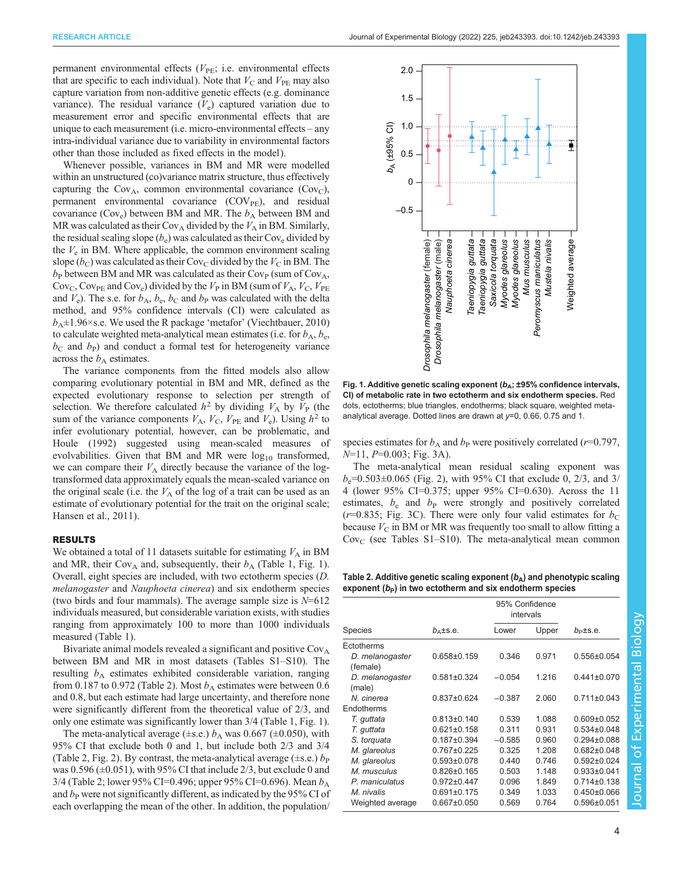<span id="page-3-0"></span>permanent environmental effects  $(V_{PE}; i.e.$  environmental effects that are specific to each individual). Note that  $V_{\text{C}}$  and  $V_{\text{PE}}$  may also capture variation from non-additive genetic effects (e.g. dominance variance). The residual variance  $(V_e)$  captured variation due to measurement error and specific environmental effects that are unique to each measurement (i.e. micro-environmental effects – any intra-individual variance due to variability in environmental factors other than those included as fixed effects in the model).

Whenever possible, variances in BM and MR were modelled within an unstructured (co)variance matrix structure, thus effectively capturing the  $Cov_A$ , common environmental covariance  $(Cov_C)$ , permanent environmental covariance  $(COV_{PE})$ , and residual covariance ( $Cov_e$ ) between BM and MR. The  $b_A$  between BM and MR was calculated as their Cov<sub>A</sub> divided by the  $V_A$  in BM. Similarly, the residual scaling slope  $(b_e)$  was calculated as their Cov<sub>e</sub> divided by the  $V_e$  in BM. Where applicable, the common environment scaling slope ( $b<sub>C</sub>$ ) was calculated as their Cov<sub>C</sub> divided by the  $V<sub>C</sub>$  in BM. The  $b_P$  between BM and MR was calculated as their Cov<sub>P</sub> (sum of Cov<sub>A</sub>, Cov<sub>C</sub>, Cov<sub>PE</sub> and Cov<sub>e</sub>) divided by the  $V_P$  in BM (sum of  $V_A$ ,  $V_C$ ,  $V_{PE}$ and  $V_e$ ). The s.e. for  $b_A$ ,  $b_e$ ,  $b_C$  and  $b_P$  was calculated with the delta method, and 95% confidence intervals (CI) were calculated as  $b_A \pm 1.96 \times$ s.e. We used the R package 'metafor' [\(Viechtbauer, 2010\)](#page-10-0) to calculate weighted meta-analytical mean estimates (i.e. for  $b_A$ ,  $b_e$ ,  $b<sub>C</sub>$  and  $b<sub>P</sub>$ ) and conduct a formal test for heterogeneity variance across the  $b_A$  estimates.

The variance components from the fitted models also allow comparing evolutionary potential in BM and MR, defined as the expected evolutionary response to selection per strength of selection. We therefore calculated  $h^2$  by dividing  $V_A$  by  $V_P$  (the sum of the variance components  $V_A$ ,  $V_C$ ,  $V_{PE}$  and  $V_e$ ). Using  $h^2$  to infer evolutionary potential, however, can be problematic, and [Houle \(1992\)](#page-9-0) suggested using mean-scaled measures of evolvabilities. Given that BM and MR were  $log_{10}$  transformed, we can compare their  $V_A$  directly because the variance of the logtransformed data approximately equals the mean-scaled variance on the original scale (i.e. the  $V_A$  of the log of a trait can be used as an estimate of evolutionary potential for the trait on the original scale; [Hansen et al., 2011\)](#page-9-0).

## RESULTS

We obtained a total of 11 datasets suitable for estimating  $V_A$  in BM and MR, their Cov<sub>A</sub> and, subsequently, their  $b_A$  ([Table 1,](#page-2-0) Fig. 1). Overall, eight species are included, with two ectotherm species (D. melanogaster and Nauphoeta cinerea) and six endotherm species (two birds and four mammals). The average sample size is  $N=612$ individuals measured, but considerable variation exists, with studies ranging from approximately 100 to more than 1000 individuals measured ([Table 1](#page-2-0)).

Bivariate animal models revealed a significant and positive  $\text{Cov}_{A}$ between BM and MR in most datasets [\(Tables S1](https://journals.biologists.com/jeb/article-lookup/DOI/10.1242/jeb.243393)–[S10\)](https://journals.biologists.com/jeb/article-lookup/DOI/10.1242/jeb.243393). The resulting  $b_A$  estimates exhibited considerable variation, ranging from 0.187 to 0.972 (Table 2). Most  $b_A$  estimates were between 0.6 and 0.8, but each estimate had large uncertainty, and therefore none were significantly different from the theoretical value of 2/3, and only one estimate was significantly lower than 3/4 [\(Table 1](#page-2-0), Fig. 1).

The meta-analytical average ( $\pm$ s.e.)  $b_A$  was 0.667 ( $\pm$ 0.050), with 95% CI that exclude both 0 and 1, but include both 2/3 and 3/4 (Table 2, [Fig. 2\)](#page-4-0). By contrast, the meta-analytical average  $(\pm s.e.)$  b<sub>P</sub> was  $0.596 \left( \pm 0.051 \right)$ , with 95% CI that include 2/3, but exclude 0 and 3/4 (Table 2; lower 95% CI=0.496; upper 95% CI=0.696). Mean  $b_A$ and  $b<sub>P</sub>$  were not significantly different, as indicated by the 95% CI of each overlapping the mean of the other. In addition, the population/



Fig. 1. Additive genetic scaling exponent ( $b_A$ ; ±95% confidence intervals, CI) of metabolic rate in two ectotherm and six endotherm species. Red dots, ectotherms; blue triangles, endotherms; black square, weighted metaanalytical average. Dotted lines are drawn at y=0, 0.66, 0.75 and 1.

species estimates for  $b_A$  and  $b_P$  were positively correlated (r=0.797,  $N=11, P=0.003$ ; [Fig. 3](#page-4-0)A).

The meta-analytical mean residual scaling exponent was  $b_e=0.503\pm0.065$  ([Fig. 2](#page-4-0)), with 95% CI that exclude 0, 2/3, and 3/ 4 (lower 95% CI=0.375; upper 95% CI=0.630). Across the 11 estimates,  $b_e$  and  $b_p$  were strongly and positively correlated ( $r=0.835$ ; [Fig. 3C](#page-4-0)). There were only four valid estimates for  $b<sub>C</sub>$ because  $V_{\rm C}$  in BM or MR was frequently too small to allow fitting a  $Cov_C$  (see [Tables S1](https://journals.biologists.com/jeb/article-lookup/DOI/10.1242/jeb.243393)–[S10\)](https://journals.biologists.com/jeb/article-lookup/DOI/10.1242/jeb.243393). The meta-analytical mean common

Table 2. Additive genetic scaling exponent  $(b_A)$  and phenotypic scaling exponent  $(b<sub>P</sub>)$  in two ectotherm and six endotherm species

|                             |                             | 95% Confidence<br>intervals |       |                   |
|-----------------------------|-----------------------------|-----------------------------|-------|-------------------|
| Species                     | $b$ <sub>A</sub> $\pm$ s.e. | Lower                       | Upper | $b_{\rm p}$ ±s.e. |
| Ectotherms                  |                             |                             |       |                   |
| D. melanogaster<br>(female) | $0.658 \pm 0.159$           | 0.346                       | 0.971 | $0.556 \pm 0.054$ |
| D. melanogaster<br>(male)   | $0.581 \pm 0.324$           | $-0.054$                    | 1 216 | $0.441 \pm 0.070$ |
| N. cinerea                  | $0.837 \pm 0.624$           | $-0.387$                    | 2.060 | $0.711 \pm 0.043$ |
| Endotherms                  |                             |                             |       |                   |
| T. quttata                  | $0.813 \pm 0.140$           | 0.539                       | 1.088 | $0.609 \pm 0.052$ |
| T. quttata                  | $0.621 \pm 0.158$           | 0.311                       | 0.931 | $0.534 \pm 0.048$ |
| S. torquata                 | $0.187 + 0.394$             | $-0.585$                    | 0.960 | $0.294 \pm 0.088$ |
| M. glareolus                | $0.767 + 0.225$             | 0.325                       | 1.208 | $0.682 \pm 0.048$ |
| M. glareolus                | $0.593 \pm 0.078$           | 0.440                       | 0.746 | $0.592 \pm 0.024$ |
| M. musculus                 | $0.826 \pm 0.165$           | 0.503                       | 1.148 | $0.933 \pm 0.041$ |
| P. maniculatus              | $0.972 \pm 0.447$           | 0.096                       | 1.849 | $0.714 \pm 0.138$ |
| M. nivalis                  | $0.691 \pm 0.175$           | 0.349                       | 1.033 | $0.450 \pm 0.066$ |
| Weighted average            | $0.667 \pm 0.050$           | 0.569                       | 0.764 | $0.596 \pm 0.051$ |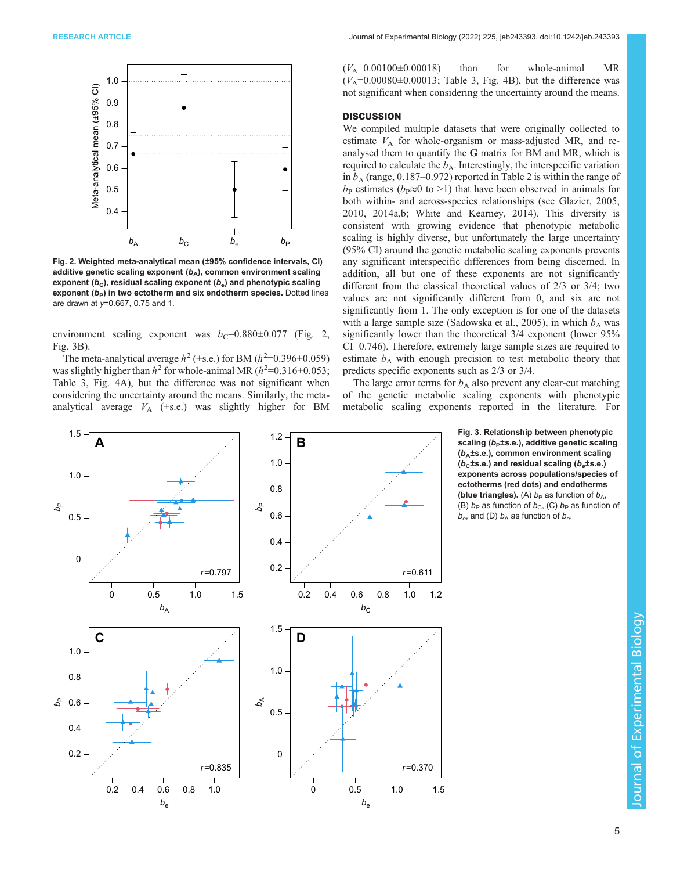<span id="page-4-0"></span>

Fig. 2. Weighted meta-analytical mean (±95% confidence intervals, CI) additive genetic scaling exponent  $(b_A)$ , common environment scaling exponent  $(b<sub>c</sub>)$ , residual scaling exponent  $(b<sub>e</sub>)$  and phenotypic scaling exponent  $(b<sub>P</sub>)$  in two ectotherm and six endotherm species. Dotted lines are drawn at  $y=0.667$ , 0.75 and 1.

environment scaling exponent was  $b_C$ =0.880±0.077 (Fig. 2, Fig. 3B).

The meta-analytical average  $h^2$  (±s.e.) for BM ( $h^2$ =0.396±0.059) was slightly higher than  $h^2$  for whole-animal MR ( $h^2$ =0.316±0.053; [Table 3](#page-5-0), [Fig. 4](#page-5-0)A), but the difference was not significant when considering the uncertainty around the means. Similarly, the metaanalytical average  $V_A$  ( $\pm$ s.e.) was slightly higher for BM  $(V_A=0.00100\pm0.00018)$  than for whole-animal MR  $(V_A=0.00080\pm0.00013$ ; [Table 3, Fig. 4B](#page-5-0)), but the difference was not significant when considering the uncertainty around the means.

## **DISCUSSION**

We compiled multiple datasets that were originally collected to estimate  $V_A$  for whole-organism or mass-adjusted MR, and reanalysed them to quantify the G matrix for BM and MR, which is required to calculate the  $b_A$ . Interestingly, the interspecific variation in  $b_A$  (range, 0.187–0.972) reported in [Table 2](#page-3-0) is within the range of  $b_P$  estimates ( $b_P \approx 0$  to >1) that have been observed in animals for both within- and across-species relationships (see [Glazier, 2005,](#page-9-0) [2010, 2014a](#page-9-0),[b;](#page-9-0) [White and Kearney, 2014](#page-10-0)). This diversity is consistent with growing evidence that phenotypic metabolic scaling is highly diverse, but unfortunately the large uncertainty (95% CI) around the genetic metabolic scaling exponents prevents any significant interspecific differences from being discerned. In addition, all but one of these exponents are not significantly different from the classical theoretical values of 2/3 or 3/4; two values are not significantly different from 0, and six are not significantly from 1. The only exception is for one of the datasets with a large sample size ([Sadowska et al., 2005](#page-10-0)), in which  $b<sub>A</sub>$  was significantly lower than the theoretical 3/4 exponent (lower 95% CI=0.746). Therefore, extremely large sample sizes are required to estimate  $b_A$  with enough precision to test metabolic theory that predicts specific exponents such as 2/3 or 3/4.

The large error terms for  $b_A$  also prevent any clear-cut matching of the genetic metabolic scaling exponents with phenotypic metabolic scaling exponents reported in the literature. For

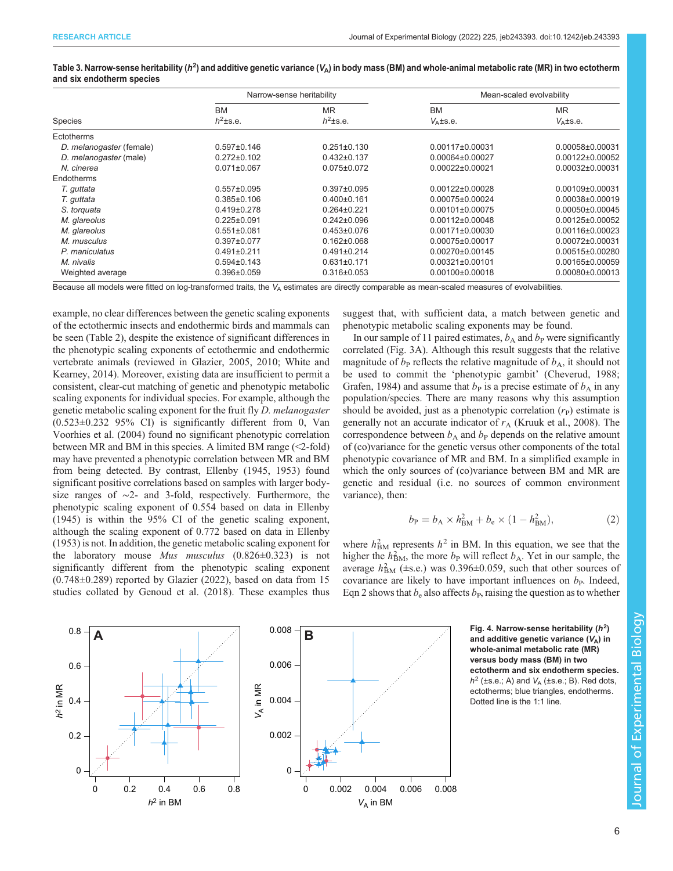|                          |                                     | Narrow-sense heritability           | Mean-scaled evolvability        |                            |  |
|--------------------------|-------------------------------------|-------------------------------------|---------------------------------|----------------------------|--|
| Species                  | <b>BM</b><br>$h^2$ <sup>ts.e.</sup> | <b>MR</b><br>$h^2$ <sup>ts.e.</sup> | <b>BM</b><br>$V_{\Delta}$ ±s.e. | <b>MR</b><br>$V_{A}$ ±s.e. |  |
| Ectotherms               |                                     |                                     |                                 |                            |  |
| D. melanogaster (female) | $0.597 \pm 0.146$                   | $0.251 \pm 0.130$                   | $0.00117\pm0.00031$             | 0.00058±0.00031            |  |
| D. melanogaster (male)   | $0.272 \pm 0.102$                   | $0.432 \pm 0.137$                   | $0.00064\pm0.00027$             | 0.00122±0.00052            |  |
| N. cinerea               | $0.071 \pm 0.067$                   | $0.075 \pm 0.072$                   | 0.00022±0.00021                 | 0.00032±0.00031            |  |
| Endotherms               |                                     |                                     |                                 |                            |  |
| T. guttata               | $0.557 \pm 0.095$                   | $0.397 \pm 0.095$                   | $0.00122 \pm 0.00028$           | $0.00109 + 0.00031$        |  |
| T. guttata               | $0.385 \pm 0.106$                   | $0.400 \pm 0.161$                   | $0.00075\pm0.00024$             | $0.00038 + 0.00019$        |  |
| S. torquata              | $0.419 \pm 0.278$                   | $0.264 \pm 0.221$                   | $0.00101 \pm 0.00075$           | 0.00050±0.00045            |  |
| M. glareolus             | $0.225 \pm 0.091$                   | $0.242 \pm 0.096$                   | $0.00112\pm0.00048$             | $0.00125 \pm 0.00052$      |  |
| M. glareolus             | $0.551 \pm 0.081$                   | $0.453 \pm 0.076$                   | $0.00171\pm0.00030$             | 0.00116±0.00023            |  |
| M. musculus              | $0.397 \pm 0.077$                   | $0.162 \pm 0.068$                   | 0.00075±0.00017                 | 0.00072±0.00031            |  |
| P. maniculatus           | $0.491 \pm 0.211$                   | $0.491 \pm 0.214$                   | $0.00270\pm0.00145$             | 0.00515±0.00280            |  |
| M. nivalis               | $0.594 \pm 0.143$                   | $0.631 \pm 0.171$                   | $0.00321 \pm 0.00101$           | 0.00165±0.00059            |  |
| Weighted average         | $0.396 \pm 0.059$                   | $0.316 \pm 0.053$                   | $0.00100 \pm 0.00018$           | 0.00080±0.00013            |  |

<span id="page-5-0"></span>Table 3. Narrow-sense heritability ( $h^2$ ) and additive genetic variance ( $V_{\sf A}$ ) in body mass (BM) and whole-animal metabolic rate (MR) in two ectotherm and six endotherm species

Because all models were fitted on log-transformed traits, the  $V_A$  estimates are directly comparable as mean-scaled measures of evolvabilities.

example, no clear differences between the genetic scaling exponents of the ectothermic insects and endothermic birds and mammals can be seen [\(Table 2\)](#page-3-0), despite the existence of significant differences in the phenotypic scaling exponents of ectothermic and endothermic vertebrate animals (reviewed in [Glazier, 2005](#page-9-0), [2010;](#page-9-0) [White and](#page-10-0) [Kearney, 2014](#page-10-0)). Moreover, existing data are insufficient to permit a consistent, clear-cut matching of genetic and phenotypic metabolic scaling exponents for individual species. For example, although the genetic metabolic scaling exponent for the fruit fly D. melanogaster (0.523±0.232 95% CI) is significantly different from 0, [Van](#page-10-0) [Voorhies et al. \(2004\)](#page-10-0) found no significant phenotypic correlation between MR and BM in this species. A limited BM range (<2-fold) may have prevented a phenotypic correlation between MR and BM from being detected. By contrast, [Ellenby \(1945, 1953\)](#page-9-0) found significant positive correlations based on samples with larger bodysize ranges of ∼2- and 3-fold, respectively. Furthermore, the phenotypic scaling exponent of 0.554 based on data in [Ellenby](#page-9-0) [\(1945\)](#page-9-0) is within the 95% CI of the genetic scaling exponent, although the scaling exponent of 0.772 based on data in [Ellenby](#page-9-0) [\(1953\)](#page-9-0) is not. In addition, the genetic metabolic scaling exponent for the laboratory mouse Mus musculus (0.826±0.323) is not significantly different from the phenotypic scaling exponent (0.748±0.289) reported by [Glazier \(2022\)](#page-9-0), based on data from 15 studies collated by [Genoud et al. \(2018\).](#page-9-0) These examples thus suggest that, with sufficient data, a match between genetic and phenotypic metabolic scaling exponents may be found.

In our sample of 11 paired estimates,  $b_A$  and  $b_P$  were significantly correlated ([Fig. 3A](#page-4-0)). Although this result suggests that the relative magnitude of  $b<sub>P</sub>$  reflects the relative magnitude of  $b<sub>A</sub>$ , it should not be used to commit the 'phenotypic gambit' [\(Cheverud, 1988](#page-9-0); [Grafen, 1984\)](#page-9-0) and assume that  $b<sub>P</sub>$  is a precise estimate of  $b<sub>A</sub>$  in any population/species. There are many reasons why this assumption should be avoided, just as a phenotypic correlation  $(r<sub>P</sub>)$  estimate is generally not an accurate indicator of  $r_A$  [\(Kruuk et al., 2008\)](#page-9-0). The correspondence between  $b_A$  and  $b_P$  depends on the relative amount of (co)variance for the genetic versus other components of the total phenotypic covariance of MR and BM. In a simplified example in which the only sources of (co)variance between BM and MR are genetic and residual (i.e. no sources of common environment variance), then:

$$
b_{\rm P} = b_{\rm A} \times h_{\rm BM}^2 + b_{\rm e} \times (1 - h_{\rm BM}^2),\tag{2}
$$

where  $h_{BM}^2$  represents  $h^2$  in BM. In this equation, we see that the higher the  $h_{BM}^2$ , the more  $b_P$  will reflect  $b_A$ . Yet in our sample, the average  $h_{BM}^2$  ( $\pm$ s.e.) was 0.396 $\pm$ 0.059, such that other sources of covariance are likely to have important influences on  $b<sub>P</sub>$ . Indeed, Eqn 2 shows that  $b_e$  also affects  $b_p$ , raising the question as to whether



and additive genetic variance  $(V_A)$  in whole-animal metabolic rate (MR) versus body mass (BM) in two ectotherm and six endotherm species.  $h^2$  (±s.e.; A) and  $V_A$  (±s.e.; B). Red dots, ectotherms; blue triangles, endotherms. Dotted line is the 1:1 line.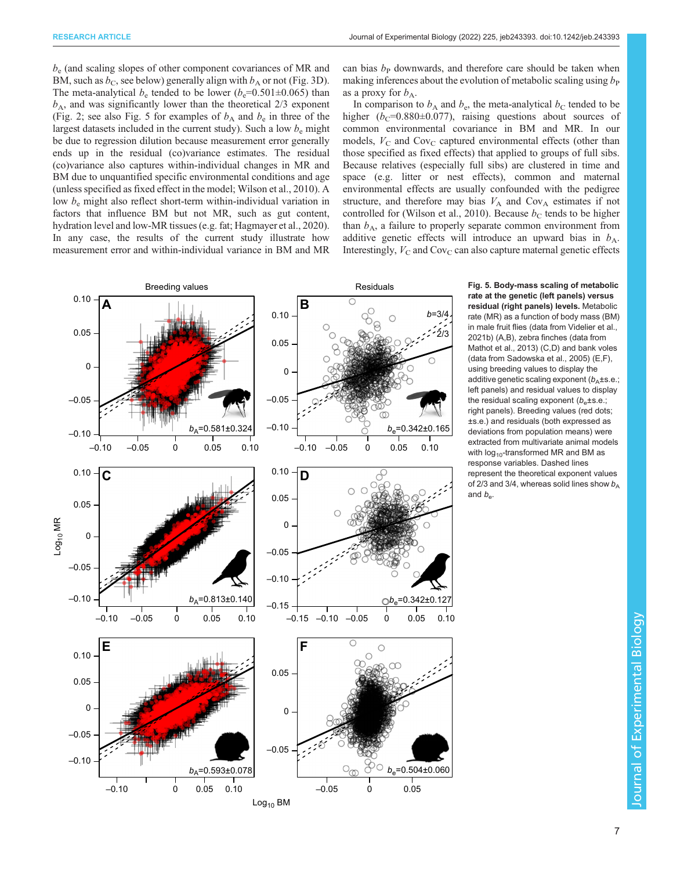$b<sub>e</sub>$  (and scaling slopes of other component covariances of MR and BM, such as  $b<sub>C</sub>$ , see below) generally align with  $b<sub>A</sub>$  or not [\(Fig. 3D\)](#page-4-0). The meta-analytical  $b_e$  tended to be lower ( $b_e$ =0.501±0.065) than  $b_A$ , and was significantly lower than the theoretical  $2/3$  exponent [\(Fig. 2](#page-4-0); see also Fig. 5 for examples of  $b_A$  and  $b_e$  in three of the largest datasets included in the current study). Such a low  $b<sub>e</sub>$  might be due to regression dilution because measurement error generally ends up in the residual (co)variance estimates. The residual (co)variance also captures within-individual changes in MR and BM due to unquantified specific environmental conditions and age (unless specified as fixed effect in the model; [Wilson et al., 2010\)](#page-10-0). A low  $b_e$  might also reflect short-term within-individual variation in factors that influence BM but not MR, such as gut content, hydration level and low-MR tissues (e.g. fat; [Hagmayer et al., 2020\)](#page-9-0). In any case, the results of the current study illustrate how measurement error and within-individual variance in BM and MR can bias  $b<sub>P</sub>$  downwards, and therefore care should be taken when making inferences about the evolution of metabolic scaling using  $b_{\rm P}$ as a proxy for  $b_{\rm A}$ .

In comparison to  $b_A$  and  $b_e$ , the meta-analytical  $b_C$  tended to be higher ( $b<sub>C</sub>=0.880±0.077$ ), raising questions about sources of common environmental covariance in BM and MR. In our models,  $V_{\rm C}$  and Cov<sub>C</sub> captured environmental effects (other than those specified as fixed effects) that applied to groups of full sibs. Because relatives (especially full sibs) are clustered in time and space (e.g. litter or nest effects), common and maternal environmental effects are usually confounded with the pedigree structure, and therefore may bias  $V_A$  and Cov<sub>A</sub> estimates if not controlled for [\(Wilson et al., 2010\)](#page-10-0). Because  $b<sub>C</sub>$  tends to be higher than  $b_A$ , a failure to properly separate common environment from additive genetic effects will introduce an upward bias in  $b_A$ . Interestingly,  $V_C$  and  $Cov_C$  can also capture maternal genetic effects



Fig. 5. Body-mass scaling of metabolic rate at the genetic (left panels) versus residual (right panels) levels. Metabolic rate (MR) as a function of body mass (BM) in male fruit flies (data from [Videlier et al.,](#page-10-0) [2021b\)](#page-10-0) (A,B), zebra finches (data from [Mathot et al., 2013](#page-9-0)) (C,D) and bank voles (data from [Sadowska et al., 2005\)](#page-10-0) (E,F), using breeding values to display the additive genetic scaling exponent  $(b<sub>A</sub>±s.e.;$ left panels) and residual values to display the residual scaling exponent  $(b_e \pm s.e.;$ right panels). Breeding values (red dots; ±s.e.) and residuals (both expressed as deviations from population means) were extracted from multivariate animal models with  $log_{10}$ -transformed MR and BM as response variables. Dashed lines represent the theoretical exponent values of 2/3 and 3/4, whereas solid lines show  $b_A$ and  $b_{\alpha}$ .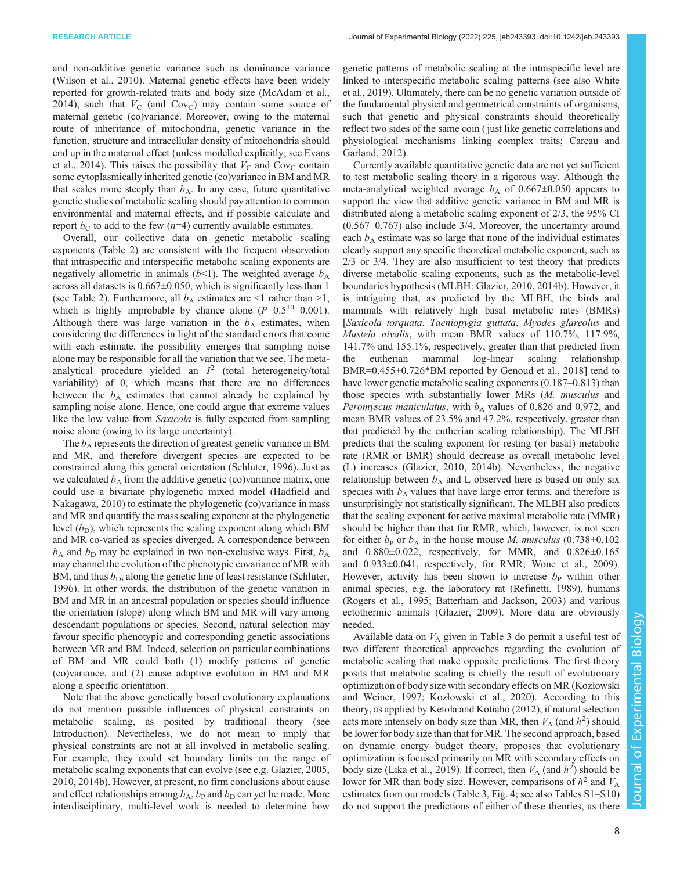and non-additive genetic variance such as dominance variance [\(Wilson et al., 2010](#page-10-0)). Maternal genetic effects have been widely reported for growth-related traits and body size ([McAdam et al.,](#page-9-0) [2014](#page-9-0)), such that  $V_C$  (and Cov<sub>C</sub>) may contain some source of maternal genetic (co)variance. Moreover, owing to the maternal route of inheritance of mitochondria, genetic variance in the function, structure and intracellular density of mitochondria should end up in the maternal effect (unless modelled explicitly; see [Evans](#page-9-0) [et al., 2014\)](#page-9-0). This raises the possibility that  $V_C$  and Cov<sub>C</sub> contain some cytoplasmically inherited genetic (co)variance in BM and MR that scales more steeply than  $b_A$ . In any case, future quantitative genetic studies of metabolic scaling should pay attention to common environmental and maternal effects, and if possible calculate and report  $b<sub>C</sub>$  to add to the few (n=4) currently available estimates.

Overall, our collective data on genetic metabolic scaling exponents ([Table 2\)](#page-3-0) are consistent with the frequent observation that intraspecific and interspecific metabolic scaling exponents are negatively allometric in animals ( $b$ <1). The weighted average  $b_A$ across all datasets is  $0.667 \pm 0.050$ , which is significantly less than 1 (see [Table 2\)](#page-3-0). Furthermore, all  $b_A$  estimates are  $\leq 1$  rather than  $\geq 1$ , which is highly improbable by chance alone  $(P=0.5^{10} = 0.001)$ . Although there was large variation in the  $b<sub>A</sub>$  estimates, when considering the differences in light of the standard errors that come with each estimate, the possibility emerges that sampling noise alone may be responsible for all the variation that we see. The metaanalytical procedure yielded an  $I<sup>2</sup>$  (total heterogeneity/total variability) of 0, which means that there are no differences between the  $b_A$  estimates that cannot already be explained by sampling noise alone. Hence, one could argue that extreme values like the low value from *Saxicola* is fully expected from sampling noise alone (owing to its large uncertainty).

The  $b_A$  represents the direction of greatest genetic variance in BM and MR, and therefore divergent species are expected to be constrained along this general orientation ([Schluter, 1996\)](#page-10-0). Just as we calculated  $b_A$  from the additive genetic (co)variance matrix, one could use a bivariate phylogenetic mixed model ([Hadfield and](#page-9-0) [Nakagawa, 2010\)](#page-9-0) to estimate the phylogenetic (co)variance in mass and MR and quantify the mass scaling exponent at the phylogenetic level  $(b<sub>D</sub>)$ , which represents the scaling exponent along which BM and MR co-varied as species diverged. A correspondence between  $b_A$  and  $b_D$  may be explained in two non-exclusive ways. First,  $b_A$ may channel the evolution of the phenotypic covariance of MR with BM, and thus  $b<sub>D</sub>$ , along the genetic line of least resistance [\(Schluter,](#page-10-0) [1996](#page-10-0)). In other words, the distribution of the genetic variation in BM and MR in an ancestral population or species should influence the orientation (slope) along which BM and MR will vary among descendant populations or species. Second, natural selection may favour specific phenotypic and corresponding genetic associations between MR and BM. Indeed, selection on particular combinations of BM and MR could both (1) modify patterns of genetic (co)variance, and (2) cause adaptive evolution in BM and MR along a specific orientation.

Note that the above genetically based evolutionary explanations do not mention possible influences of physical constraints on metabolic scaling, as posited by traditional theory (see Introduction). Nevertheless, we do not mean to imply that physical constraints are not at all involved in metabolic scaling. For example, they could set boundary limits on the range of metabolic scaling exponents that can evolve (see e.g. [Glazier, 2005,](#page-9-0) [2010](#page-9-0), [2014b](#page-9-0)). However, at present, no firm conclusions about cause and effect relationships among  $b_A$ ,  $b_P$  and  $b_D$  can yet be made. More interdisciplinary, multi-level work is needed to determine how

genetic patterns of metabolic scaling at the intraspecific level are linked to interspecific metabolic scaling patterns (see also [White](#page-10-0) [et al., 2019](#page-10-0)). Ultimately, there can be no genetic variation outside of the fundamental physical and geometrical constraints of organisms, such that genetic and physical constraints should theoretically reflect two sides of the same coin ( just like genetic correlations and physiological mechanisms linking complex traits; [Careau and](#page-8-0) [Garland, 2012](#page-8-0)).

Currently available quantitative genetic data are not yet sufficient to test metabolic scaling theory in a rigorous way. Although the meta-analytical weighted average  $b_A$  of 0.667±0.050 appears to support the view that additive genetic variance in BM and MR is distributed along a metabolic scaling exponent of 2/3, the 95% CI (0.567–0.767) also include 3/4. Moreover, the uncertainty around each  $b_A$  estimate was so large that none of the individual estimates clearly support any specific theoretical metabolic exponent, such as 2/3 or 3/4. They are also insufficient to test theory that predicts diverse metabolic scaling exponents, such as the metabolic-level boundaries hypothesis (MLBH: [Glazier, 2010](#page-9-0), [2014b\)](#page-9-0). However, it is intriguing that, as predicted by the MLBH, the birds and mammals with relatively high basal metabolic rates (BMRs) [Saxicola torquata, Taeniopygia guttata, Myodes glareolus and Mustela nivalis, with mean BMR values of 110.7%, 117.9%, 141.7% and 155.1%, respectively, greater than that predicted from the eutherian mammal log-linear scaling relationship BMR=0.455+0.726\*BM reported by [Genoud et al., 2018\]](#page-9-0) tend to have lower genetic metabolic scaling exponents (0.187–0.813) than those species with substantially lower MRs (M. musculus and Peromyscus maniculatus, with  $b_A$  values of 0.826 and 0.972, and mean BMR values of 23.5% and 47.2%, respectively, greater than that predicted by the eutherian scaling relationship). The MLBH predicts that the scaling exponent for resting (or basal) metabolic rate (RMR or BMR) should decrease as overall metabolic level (L) increases [\(Glazier, 2010](#page-9-0), [2014b\)](#page-9-0). Nevertheless, the negative relationship between  $b_A$  and L observed here is based on only six species with  $b_A$  values that have large error terms, and therefore is unsurprisingly not statistically significant. The MLBH also predicts that the scaling exponent for active maximal metabolic rate (MMR) should be higher than that for RMR, which, however, is not seen for either  $b_P$  or  $b_A$  in the house mouse M. musculus (0.738 $\pm$ 0.102 and 0.880±0.022, respectively, for MMR, and 0.826±0.165 and 0.933±0.041, respectively, for RMR; [Wone et al., 2009\)](#page-10-0). However, activity has been shown to increase  $b<sub>P</sub>$  within other animal species, e.g. the laboratory rat [\(Refinetti, 1989](#page-10-0)), humans [\(Rogers et al., 1995](#page-10-0); [Batterham and Jackson, 2003\)](#page-8-0) and various ectothermic animals [\(Glazier, 2009](#page-9-0)). More data are obviously needed.

Available data on  $V_A$  given in [Table 3](#page-5-0) do permit a useful test of two different theoretical approaches regarding the evolution of metabolic scaling that make opposite predictions. The first theory posits that metabolic scaling is chiefly the result of evolutionary optimization of body size with secondary effects on MR (Kozł[owski](#page-9-0) [and Weiner, 1997;](#page-9-0) Kozł[owski et al., 2020](#page-9-0)). According to this theory, as applied by [Ketola and Kotiaho \(2012\)](#page-9-0), if natural selection acts more intensely on body size than MR, then  $V_A$  (and  $h^2$ ) should be lower for body size than that for MR. The second approach, based on dynamic energy budget theory, proposes that evolutionary optimization is focused primarily on MR with secondary effects on body size [\(Lika et al., 2019](#page-9-0)). If correct, then  $V_A$  (and  $h^2$ ) should be lower for MR than body size. However, comparisons of  $h^2$  and  $V_A$ estimates from our models [\(Table 3](#page-5-0), [Fig. 4](#page-5-0); see also [Tables S1](https://journals.biologists.com/jeb/article-lookup/DOI/10.1242/jeb.243393)–S10) do not support the predictions of either of these theories, as there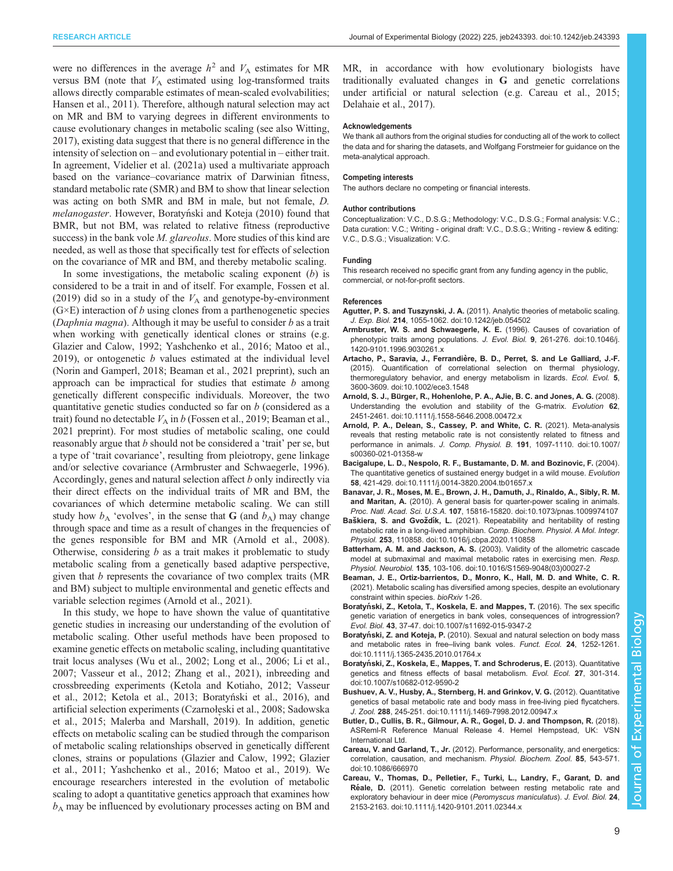<span id="page-8-0"></span>were no differences in the average  $h^2$  and  $V_A$  estimates for MR versus BM (note that  $V_A$  estimated using log-transformed traits allows directly comparable estimates of mean-scaled evolvabilities; [Hansen et al., 2011](#page-9-0)). Therefore, although natural selection may act on MR and BM to varying degrees in different environments to cause evolutionary changes in metabolic scaling (see also [Witting,](#page-10-0) [2017](#page-10-0)), existing data suggest that there is no general difference in the intensity of selection on – and evolutionary potential in – either trait. In agreement, [Videlier et al. \(2021a\)](#page-10-0) used a multivariate approach based on the variance–covariance matrix of Darwinian fitness, standard metabolic rate (SMR) and BM to show that linear selection was acting on both SMR and BM in male, but not female, D. melanogaster. However, Boratyński and Koteja (2010) found that BMR, but not BM, was related to relative fitness (reproductive success) in the bank vole *M. glareolus*. More studies of this kind are needed, as well as those that specifically test for effects of selection on the covariance of MR and BM, and thereby metabolic scaling.

In some investigations, the metabolic scaling exponent  $(b)$  is considered to be a trait in and of itself. For example, [Fossen et al.](#page-9-0) [\(2019\)](#page-9-0) did so in a study of the  $V_A$  and genotype-by-environment  $(G \times E)$  interaction of b using clones from a parthenogenetic species (Daphnia magna). Although it may be useful to consider  $b$  as a trait when working with genetically identical clones or strains (e.g. [Glazier and Calow, 1992;](#page-9-0) [Yashchenko et al., 2016;](#page-10-0) [Matoo et al.,](#page-9-0) [2019](#page-9-0)), or ontogenetic  $b$  values estimated at the individual level [\(Norin and Gamperl, 2018](#page-9-0); Beaman et al., 2021 preprint), such an approach can be impractical for studies that estimate  $b$  among genetically different conspecific individuals. Moreover, the two quantitative genetic studies conducted so far on b (considered as a trait) found no detectable  $V_A$  in b ([Fossen et al., 2019;](#page-9-0) Beaman et al., 2021 preprint). For most studies of metabolic scaling, one could reasonably argue that b should not be considered a 'trait' per se, but a type of 'trait covariance', resulting from pleiotropy, gene linkage and/or selective covariance (Armbruster and Schwaegerle, 1996). Accordingly, genes and natural selection affect b only indirectly via their direct effects on the individual traits of MR and BM, the covariances of which determine metabolic scaling. We can still study how  $b_A$  'evolves', in the sense that G (and  $b_A$ ) may change through space and time as a result of changes in the frequencies of the genes responsible for BM and MR (Arnold et al., 2008). Otherwise, considering  $b$  as a trait makes it problematic to study metabolic scaling from a genetically based adaptive perspective, given that b represents the covariance of two complex traits (MR and BM) subject to multiple environmental and genetic effects and variable selection regimes (Arnold et al., 2021).

In this study, we hope to have shown the value of quantitative genetic studies in increasing our understanding of the evolution of metabolic scaling. Other useful methods have been proposed to examine genetic effects on metabolic scaling, including quantitative trait locus analyses [\(Wu et al., 2002](#page-10-0); [Long et al., 2006](#page-9-0); [Li et al.,](#page-9-0) [2007](#page-9-0); [Vasseur et al., 2012; Zhang et al., 2021\)](#page-10-0), inbreeding and crossbreeding experiments [\(Ketola and Kotiaho, 2012;](#page-9-0) [Vasseur](#page-10-0) [et al., 2012](#page-10-0); [Ketola et al., 2013](#page-9-0); Boratyński et al., 2016), and artificial selection experiments (Czarnołę[ski et al., 2008](#page-9-0); [Sadowska](#page-10-0) [et al., 2015;](#page-10-0) [Malerba and Marshall, 2019](#page-9-0)). In addition, genetic effects on metabolic scaling can be studied through the comparison of metabolic scaling relationships observed in genetically different clones, strains or populations [\(Glazier and Calow, 1992](#page-9-0); [Glazier](#page-9-0) [et al., 2011;](#page-9-0) [Yashchenko et al., 2016;](#page-10-0) [Matoo et al., 2019\)](#page-9-0). We encourage researchers interested in the evolution of metabolic scaling to adopt a quantitative genetics approach that examines how  $b_A$  may be influenced by evolutionary processes acting on BM and

MR, in accordance with how evolutionary biologists have traditionally evaluated changes in G and genetic correlations under artificial or natural selection (e.g. [Careau et al., 2015](#page-9-0); [Delahaie et al., 2017\)](#page-9-0).

#### Acknowledgements

We thank all authors from the original studies for conducting all of the work to collect the data and for sharing the datasets, and Wolfgang Forstmeier for guidance on the meta-analytical approach.

#### Competing interests

The authors declare no competing or financial interests.

#### Author contributions

Conceptualization: V.C., D.S.G.; Methodology: V.C., D.S.G.; Formal analysis: V.C.; Data curation: V.C.; Writing - original draft: V.C., D.S.G.; Writing - review & editing: V.C., D.S.G.; Visualization: V.C.

#### Funding

This research received no specific grant from any funding agency in the public, commercial, or not-for-profit sectors.

#### References

- Agutter, P. S. and Tuszynski, J. A. [\(2011\). Analytic theories of metabolic scaling.](https://doi.org/10.1242/jeb.054502) J. Exp. Biol. 214[, 1055-1062. doi:10.1242/jeb.054502](https://doi.org/10.1242/jeb.054502)
- [Armbruster, W. S. and Schwaegerle, K. E.](https://doi.org/10.1046/j.1420-9101.1996.9030261.x) (1996). Causes of covariation of [phenotypic traits among populations.](https://doi.org/10.1046/j.1420-9101.1996.9030261.x) J. Evol. Biol. 9, 261-276. doi:10.1046/j. [1420-9101.1996.9030261.x](https://doi.org/10.1046/j.1420-9101.1996.9030261.x)
- Artacho, P., Saravia, J., Ferrandière, B. D., Perret, S. and Le Galliard, J.-F. [\(2015\). Quantification of correlational selection on thermal physiology,](https://doi.org/10.1002/ece3.1548) [thermoregulatory behavior, and energy metabolism in lizards.](https://doi.org/10.1002/ece3.1548) Ecol. Evol. 5, [3600-3609. doi:10.1002/ece3.1548](https://doi.org/10.1002/ece3.1548)
- Arnold, S. J., Bü[rger, R., Hohenlohe, P. A., AJie, B. C. and Jones, A. G.](https://doi.org/10.1111/j.1558-5646.2008.00472.x) (2008). [Understanding the evolution and stability of the G-matrix.](https://doi.org/10.1111/j.1558-5646.2008.00472.x) Evolution 62, [2451-2461. doi:10.1111/j.1558-5646.2008.00472.x](https://doi.org/10.1111/j.1558-5646.2008.00472.x)
- [Arnold, P. A., Delean, S., Cassey, P. and White, C. R.](https://doi.org/10.1007/s00360-021-01358-w) (2021). Meta-analysis [reveals that resting metabolic rate is not consistently related to fitness and](https://doi.org/10.1007/s00360-021-01358-w) performance in animals. J. Comp. Physiol. B. 191[, 1097-1110. doi:10.1007/](https://doi.org/10.1007/s00360-021-01358-w) [s00360-021-01358-w](https://doi.org/10.1007/s00360-021-01358-w)
- [Bacigalupe, L. D., Nespolo, R. F., Bustamante, D. M. and Bozinovic, F.](https://doi.org/10.1111/j.0014-3820.2004.tb01657.x) (2004). [The quantitative genetics of sustained energy budget in a wild mouse.](https://doi.org/10.1111/j.0014-3820.2004.tb01657.x) Evolution 58[, 421-429. doi:10.1111/j.0014-3820.2004.tb01657.x](https://doi.org/10.1111/j.0014-3820.2004.tb01657.x)
- [Banavar, J. R., Moses, M. E., Brown, J. H., Damuth, J., Rinaldo, A., Sibly, R. M.](https://doi.org/10.1073/pnas.1009974107) and Maritan, A. [\(2010\). A general basis for quarter-power scaling in animals.](https://doi.org/10.1073/pnas.1009974107) Proc. Natl. Acad. Sci. U.S.A. 107[, 15816-15820. doi:10.1073/pnas.1009974107](https://doi.org/10.1073/pnas.1009974107)
- Baškiera, S. and Gvoždík, L. [\(2021\). Repeatability and heritability of resting](https://doi.org/10.1016/j.cbpa.2020.110858) [metabolic rate in a long-lived amphibian.](https://doi.org/10.1016/j.cbpa.2020.110858) Comp. Biochem. Physiol. A Mol. Integr. Physiol. 253[, 110858. doi:10.1016/j.cbpa.2020.110858](https://doi.org/10.1016/j.cbpa.2020.110858)
- Batterham, A. M. and Jackson, A. S. [\(2003\). Validity of the allometric cascade](https://doi.org/10.1016/S1569-9048(03)00027-2) [model at submaximal and maximal metabolic rates in exercising men.](https://doi.org/10.1016/S1569-9048(03)00027-2) Resp. Physiol. Neurobiol. 135[, 103-106. doi:10.1016/S1569-9048\(03\)00027-2](https://doi.org/10.1016/S1569-9048(03)00027-2)
- Beaman, J. E., Ortiz-barrientos, D., Monro, K., Hall, M. D. and White, C. R. (2021). Metabolic scaling has diversified among species, despite an evolutionary constraint within species. bioRxiv 1-26.
- Boratyń[ski, Z., Ketola, T., Koskela, E. and Mappes, T.](https://doi.org/10.1007/s11692-015-9347-2) (2016). The sex specific [genetic variation of energetics in bank voles, consequences of introgression?](https://doi.org/10.1007/s11692-015-9347-2) Evol. Biol. 43[, 37-47. doi:10.1007/s11692-015-9347-2](https://doi.org/10.1007/s11692-015-9347-2)
- Boratyński, Z. and Koteja, P. [\(2010\). Sexual and natural selection on body mass](https://doi.org/10.1111/j.1365-2435.2010.01764.x) [and metabolic rates in free](https://doi.org/10.1111/j.1365-2435.2010.01764.x)–living bank voles. Funct. Ecol. 24, 1252-1261. [doi:10.1111/j.1365-2435.2010.01764.x](https://doi.org/10.1111/j.1365-2435.2010.01764.x)
- Boratyń[ski, Z., Koskela, E., Mappes, T. and Schroderus, E.](https://doi.org/10.1007/s10682-012-9590-2) (2013). Quantitative [genetics and fitness effects of basal metabolism.](https://doi.org/10.1007/s10682-012-9590-2) Evol. Ecol. 27, 301-314. [doi:10.1007/s10682-012-9590-2](https://doi.org/10.1007/s10682-012-9590-2)
- [Bushuev, A. V., Husby, A., Sternberg, H. and Grinkov, V. G.](https://doi.org/10.1111/j.1469-7998.2012.00947.x) (2012). Quantitative [genetics of basal metabolic rate and body mass in free-living pied flycatchers.](https://doi.org/10.1111/j.1469-7998.2012.00947.x) J. Zool. 288[, 245-251. doi:10.1111/j.1469-7998.2012.00947.x](https://doi.org/10.1111/j.1469-7998.2012.00947.x)
- Butler, D., Cullis, B. R., Gilmour, A. R., Gogel, D. J. and Thompson, R. (2018). ASReml-R Reference Manual Release 4. Hemel Hempstead, UK: VSN International Ltd.
- Careau, V. and Garland, T., Jr. [\(2012\). Performance, personality, and energetics:](https://doi.org/10.1086/666970) [correlation, causation, and mechanism.](https://doi.org/10.1086/666970) Physiol. Biochem. Zool. 85, 543-571. [doi:10.1086/666970](https://doi.org/10.1086/666970)
- [Careau, V., Thomas, D., Pelletier, F., Turki, L., Landry, F., Garant, D. and](https://doi.org/10.1111/j.1420-9101.2011.02344.x) Réale, D. [\(2011\). Genetic correlation between resting metabolic rate and](https://doi.org/10.1111/j.1420-9101.2011.02344.x) [exploratory behaviour in deer mice \(](https://doi.org/10.1111/j.1420-9101.2011.02344.x)Peromyscus maniculatus). J. Evol. Biol. 24, [2153-2163. doi:10.1111/j.1420-9101.2011.02344.x](https://doi.org/10.1111/j.1420-9101.2011.02344.x)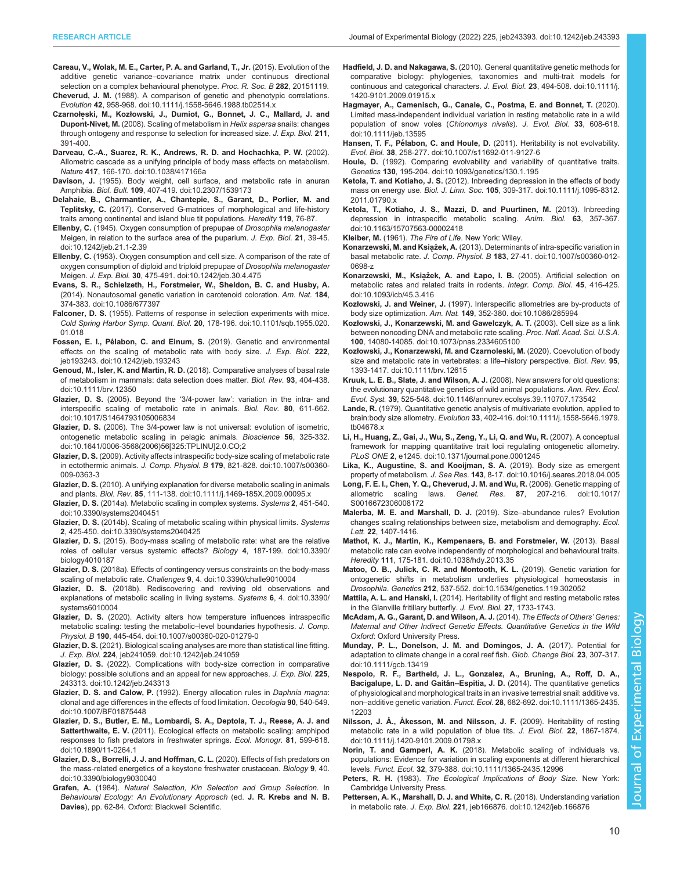- <span id="page-9-0"></span>Careau, V., Wolak, M. E., Carter, P. A. and Garland, T., Jr. (2015). Evolution of the additive genetic variance–covariance matrix under continuous directional selection on a complex behavioural phenotype. Proc. R. Soc. B 282, 20151119.
- Cheverud, J. M. [\(1988\). A comparison of genetic and phenotypic correlations.](https://doi.org/10.1111/j.1558-5646.1988.tb02514.x) Evolution 42[, 958-968. doi:10.1111/j.1558-5646.1988.tb02514.x](https://doi.org/10.1111/j.1558-5646.1988.tb02514.x)
- Czarnołęski, M., Kozłowski, J., Dumiot, G., Bonnet, J. C., Mallard, J. and Dupont-Nivet, M. (2008). Scaling of metabolism in Helix aspersa snails: changes through ontogeny and response to selection for increased size. J. Exp. Biol. 211, 391-400.
- [Darveau, C.-A., Suarez, R. K., Andrews, R. D. and Hochachka, P. W.](https://doi.org/10.1038/417166a) (2002). [Allometric cascade as a unifying principle of body mass effects on metabolism.](https://doi.org/10.1038/417166a) Nature 417[, 166-170. doi:10.1038/417166a](https://doi.org/10.1038/417166a)
- Davison, J. [\(1955\). Body weight, cell surface, and metabolic rate in anuran](https://doi.org/10.2307/1539173) Amphibia. Biol. Bull. 109[, 407-419. doi:10.2307/1539173](https://doi.org/10.2307/1539173)
- Delahaie, B., Charmantier, A., Chantepie, S., Garant, D., Porlier, M. and Teplitsky, C. (2017). Conserved G-matrices of morphological and life-history traits among continental and island blue tit populations. Heredity 119, 76-87.
- Ellenby, C. [\(1945\). Oxygen consumption of prepupae of](https://doi.org/10.1242/jeb.21.1-2.39) Drosophila melanogaster [Meigen, in relation to the surface area of the puparium.](https://doi.org/10.1242/jeb.21.1-2.39) J. Exp. Biol. 21, 39-45. [doi:10.1242/jeb.21.1-2.39](https://doi.org/10.1242/jeb.21.1-2.39)
- Ellenby, C. [\(1953\). Oxygen consumption and cell size. A comparison of the rate of](https://doi.org/10.1242/jeb.30.4.475) [oxygen consumption of diploid and triploid prepupae of](https://doi.org/10.1242/jeb.30.4.475) Drosophila melanogaster Meigen. J. Exp. Biol. 30[, 475-491. doi:10.1242/jeb.30.4.475](https://doi.org/10.1242/jeb.30.4.475)
- [Evans, S. R., Schielzeth, H., Forstmeier, W., Sheldon, B. C. and Husby, A.](https://doi.org/10.1086/677397) [\(2014\). Nonautosomal genetic variation in carotenoid coloration.](https://doi.org/10.1086/677397) Am. Nat. 184, [374-383. doi:10.1086/677397](https://doi.org/10.1086/677397)
- Falconer, D. S. [\(1955\). Patterns of response in selection experiments with mice.](https://doi.org/10.1101/sqb.1955.020.01.018) [Cold Spring Harbor Symp. Quant. Biol.](https://doi.org/10.1101/sqb.1955.020.01.018) 20, 178-196. doi:10.1101/sqb.1955.020. [01.018](https://doi.org/10.1101/sqb.1955.020.01.018)
- Fossen, E. I., Pélabon, C. and Einum, S. [\(2019\). Genetic and environmental](https://doi.org/10.1242/jeb.193243) [effects on the scaling of metabolic rate with body size.](https://doi.org/10.1242/jeb.193243) J. Exp. Biol. 222, [jeb193243. doi:10.1242/jeb.193243](https://doi.org/10.1242/jeb.193243)
- Genoud, M., Isler, K. and Martin, R. D. [\(2018\). Comparative analyses of basal rate](https://doi.org/10.1111/brv.12350) [of metabolism in mammals: data selection does matter.](https://doi.org/10.1111/brv.12350) Biol. Rev. 93, 404-438. [doi:10.1111/brv.12350](https://doi.org/10.1111/brv.12350)
- Glazier, D. S. (2005). Beyond the '3/4-power law'[: variation in the intra- and](https://doi.org/10.1017/S1464793105006834) [interspecific scaling of metabolic rate in animals.](https://doi.org/10.1017/S1464793105006834) Biol. Rev. 80, 611-662. [doi:10.1017/S1464793105006834](https://doi.org/10.1017/S1464793105006834)
- Glazier, D. S. [\(2006\). The 3/4-power law is not universal: evolution of isometric,](https://doi.org/10.1641/0006-3568(2006)56[325:TPLINU]2.0.CO;2) [ontogenetic metabolic scaling in pelagic animals.](https://doi.org/10.1641/0006-3568(2006)56[325:TPLINU]2.0.CO;2) Bioscience 56, 325-332. [doi:10.1641/0006-3568\(2006\)56\[325:TPLINU\]2.0.CO;2](https://doi.org/10.1641/0006-3568(2006)56[325:TPLINU]2.0.CO;2)
- Glazier, D. S. [\(2009\). Activity affects intraspecific body-size scaling of metabolic rate](https://doi.org/10.1007/s00360-009-0363-3) in ectothermic animals. J. Comp. Physiol. B 179[, 821-828. doi:10.1007/s00360-](https://doi.org/10.1007/s00360-009-0363-3) [009-0363-3](https://doi.org/10.1007/s00360-009-0363-3)
- Glazier, D. S. [\(2010\). A unifying explanation for diverse metabolic scaling in animals](https://doi.org/10.1111/j.1469-185X.2009.00095.x) and plants. Biol. Rev. 85[, 111-138. doi:10.1111/j.1469-185X.2009.00095.x](https://doi.org/10.1111/j.1469-185X.2009.00095.x)
- Glazier, D. S. [\(2014a\). Metabolic scaling in complex systems.](https://doi.org/10.3390/systems2040451) Systems 2, 451-540. [doi:10.3390/systems2040451](https://doi.org/10.3390/systems2040451)
- Glazier, D. S. [\(2014b\). Scaling of metabolic scaling within physical limits.](https://doi.org/10.3390/systems2040425) Systems 2[, 425-450. doi:10.3390/systems2040425](https://doi.org/10.3390/systems2040425)
- Glazier, D. S. [\(2015\). Body-mass scaling of metabolic rate: what are the relative](https://doi.org/10.3390/biology4010187) [roles of cellular versus systemic effects?](https://doi.org/10.3390/biology4010187) Biology 4, 187-199. doi:10.3390/ [biology4010187](https://doi.org/10.3390/biology4010187)
- Glazier, D. S. [\(2018a\). Effects of contingency versus constraints on the body-mass](https://doi.org/10.3390/challe9010004) scaling of metabolic rate. Challenges 9[, 4. doi:10.3390/challe9010004](https://doi.org/10.3390/challe9010004)
- Glazier, D. S. [\(2018b\). Rediscovering and reviving old observations and](https://doi.org/10.3390/systems6010004) [explanations of metabolic scaling in living systems.](https://doi.org/10.3390/systems6010004) Systems 6, 4. doi:10.3390/ [systems6010004](https://doi.org/10.3390/systems6010004)
- Glazier, D. S. [\(2020\). Activity alters how temperature influences intraspecific](https://doi.org/10.1007/s00360-020-01279-0) [metabolic scaling: testing the metabolic](https://doi.org/10.1007/s00360-020-01279-0)–level boundaries hypothesis. J. Comp. Physiol. B 190[, 445-454. doi:10.1007/s00360-020-01279-0](https://doi.org/10.1007/s00360-020-01279-0)
- Glazier, D. S. [\(2021\). Biological scaling analyses are more than statistical line fitting.](https://doi.org/10.1242/jeb.241059) J. Exp. Biol. 224[, jeb241059. doi:10.1242/jeb.241059](https://doi.org/10.1242/jeb.241059)
- Glazier, D. S. [\(2022\). Complications with body-size correction in comparative](https://doi.org/10.1242/jeb.243313) [biology: possible solutions and an appeal for new approaches.](https://doi.org/10.1242/jeb.243313) J. Exp. Biol. 225, [243313. doi:10.1242/jeb.243313](https://doi.org/10.1242/jeb.243313)
- Glazier, D. S. and Calow, P. [\(1992\). Energy allocation rules in](https://doi.org/10.1007/BF01875448) Daphnia magna: [clonal and age differences in the effects of food limitation.](https://doi.org/10.1007/BF01875448) Oecologia 90, 540-549. [doi:10.1007/BF01875448](https://doi.org/10.1007/BF01875448)
- [Glazier, D. S., Butler, E. M., Lombardi, S. A., Deptola, T. J., Reese, A. J. and](https://doi.org/10.1890/11-0264.1) Satterthwaite, E. V. [\(2011\). Ecological effects on metabolic scaling: amphipod](https://doi.org/10.1890/11-0264.1) [responses to fish predators in freshwater springs.](https://doi.org/10.1890/11-0264.1) Ecol. Monogr. 81, 599-618. [doi:10.1890/11-0264.1](https://doi.org/10.1890/11-0264.1)
- [Glazier, D. S., Borrelli, J. J. and Hoffman, C. L.](https://doi.org/10.3390/biology9030040) (2020). Effects of fish predators on [the mass-related energetics of a keystone freshwater crustacean.](https://doi.org/10.3390/biology9030040) Biology 9, 40. [doi:10.3390/biology9030040](https://doi.org/10.3390/biology9030040)
- Grafen, A. (1984). Natural Selection, Kin Selection and Group Selection. In Behavioural Ecology: An Evolutionary Approach (ed. J. R. Krebs and N. B. Davies), pp. 62-84. Oxford: Blackwell Scientific.
- Hadfield, J. D. and Nakagawa, S. [\(2010\). General quantitative genetic methods for](https://doi.org/10.1111/j.1420-9101.2009.01915.x) [comparative biology: phylogenies, taxonomies and multi-trait models for](https://doi.org/10.1111/j.1420-9101.2009.01915.x) [continuous and categorical characters.](https://doi.org/10.1111/j.1420-9101.2009.01915.x) J. Evol. Biol. 23, 494-508. doi:10.1111/j. [1420-9101.2009.01915.x](https://doi.org/10.1111/j.1420-9101.2009.01915.x)
- [Hagmayer, A., Camenisch, G., Canale, C., Postma, E. and Bonnet, T.](https://doi.org/10.1111/jeb.13595) (2020). [Limited mass-independent individual variation in resting metabolic rate in a wild](https://doi.org/10.1111/jeb.13595) [population of snow voles \(](https://doi.org/10.1111/jeb.13595)Chionomys nivalis). J. Evol. Biol. 33, 608-618. [doi:10.1111/jeb.13595](https://doi.org/10.1111/jeb.13595)
- Hansen, T. F., Pélabon, C. and Houle, D. [\(2011\). Heritability is not evolvability.](https://doi.org/10.1007/s11692-011-9127-6) Evol. Biol. 38[, 258-277. doi:10.1007/s11692-011-9127-6](https://doi.org/10.1007/s11692-011-9127-6)
- Houle, D. [\(1992\). Comparing evolvability and variability of quantitative traits.](https://doi.org/10.1093/genetics/130.1.195) Genetics 130[, 195-204. doi:10.1093/genetics/130.1.195](https://doi.org/10.1093/genetics/130.1.195)
- Ketola, T. and Kotiaho, J. S. [\(2012\). Inbreeding depression in the effects of body](https://doi.org/10.1111/j.1095-8312.2011.01790.x) mass on energy use. Biol. J. Linn. Soc. 105[, 309-317. doi:10.1111/j.1095-8312.](https://doi.org/10.1111/j.1095-8312.2011.01790.x) [2011.01790.x](https://doi.org/10.1111/j.1095-8312.2011.01790.x)
- [Ketola, T., Kotiaho, J. S., Mazzi, D. and Puurtinen, M.](https://doi.org/10.1163/15707563-00002418) (2013). Inbreeding [depression in intraspecific metabolic scaling.](https://doi.org/10.1163/15707563-00002418) Anim. Biol. 63, 357-367. [doi:10.1163/15707563-00002418](https://doi.org/10.1163/15707563-00002418)
- Kleiber, M. (1961). The Fire of Life. New York: Wiley.
- Konarzewski, M. and Książek, A. [\(2013\). Determinants of intra-specific variation in](https://doi.org/10.1007/s00360-012-0698-z) basal metabolic rate. J. Comp. Physiol. B 183[, 27-41. doi:10.1007/s00360-012-](https://doi.org/10.1007/s00360-012-0698-z) [0698-z](https://doi.org/10.1007/s00360-012-0698-z)
- Konarzewski, M., Książek, A. and Łapo, I. B. [\(2005\). Artificial selection on](https://doi.org/10.1093/icb/45.3.416) [metabolic rates and related traits in rodents.](https://doi.org/10.1093/icb/45.3.416) Integr. Comp. Biol. 45, 416-425. [doi:10.1093/icb/45.3.416](https://doi.org/10.1093/icb/45.3.416)
- Kozłowski, J. and Weiner, J. [\(1997\). Interspecific allometries are by-products of](https://doi.org/10.1086/285994) body size optimization. Am. Nat. 149[, 352-380. doi:10.1086/285994](https://doi.org/10.1086/285994)
- Kozł[owski, J., Konarzewski, M. and Gawelczyk, A. T.](https://doi.org/10.1073/pnas.2334605100) (2003). Cell size as a link [between noncoding DNA and metabolic rate scaling.](https://doi.org/10.1073/pnas.2334605100) Proc. Natl. Acad. Sci. U.S.A. 100[, 14080-14085. doi:10.1073/pnas.2334605100](https://doi.org/10.1073/pnas.2334605100)
- Kozł[owski, J., Konarzewski, M. and Czarnoleski, M.](https://doi.org/10.1111/brv.12615) (2020). Coevolution of body [size and metabolic rate in vertebrates: a life](https://doi.org/10.1111/brv.12615)–history perspective. Biol. Rev. 95, [1393-1417. doi:10.1111/brv.12615](https://doi.org/10.1111/brv.12615)
- [Kruuk, L. E. B., Slate, J. and Wilson, A. J.](https://doi.org/10.1146/annurev.ecolsys.39.110707.173542) (2008). New answers for old questions: [the evolutionary quantitative genetics of wild animal populations.](https://doi.org/10.1146/annurev.ecolsys.39.110707.173542) Ann. Rev. Ecol. Evol. Syst. 39[, 525-548. doi:10.1146/annurev.ecolsys.39.110707.173542](https://doi.org/10.1146/annurev.ecolsys.39.110707.173542)
- Lande, R. [\(1979\). Quantitative genetic analysis of multivariate evolution, applied to](https://doi.org/10.1111/j.1558-5646.1979.tb04678.x) brain:body size allometry. Evolution 33[, 402-416. doi:10.1111/j.1558-5646.1979.](https://doi.org/10.1111/j.1558-5646.1979.tb04678.x) [tb04678.x](https://doi.org/10.1111/j.1558-5646.1979.tb04678.x)
- [Li, H., Huang, Z., Gai, J., Wu, S., Zeng, Y., Li, Q. and Wu, R.](https://doi.org/10.1371/journal.pone.0001245) (2007). A conceptual [framework for mapping quantitative trait loci regulating ontogenetic allometry.](https://doi.org/10.1371/journal.pone.0001245) PLoS ONE 2[, e1245. doi:10.1371/journal.pone.0001245](https://doi.org/10.1371/journal.pone.0001245)
- [Lika, K., Augustine, S. and Kooijman, S. A.](https://doi.org/10.1016/j.seares.2018.04.005) (2019). Body size as emergent property of metabolism. J. Sea Res. 143[, 8-17. doi:10.1016/j.seares.2018.04.005](https://doi.org/10.1016/j.seares.2018.04.005)
- [Long, F. E. I., Chen, Y. Q., Cheverud, J. M. and Wu, R.](https://doi.org/10.1017/S0016672306008172) (2006). Genetic mapping of allometric scaling laws. Genet. Res. 87[, 207-216. doi:10.1017/](https://doi.org/10.1017/S0016672306008172) [S0016672306008172](https://doi.org/10.1017/S0016672306008172)
- Malerba, M. E. and Marshall, D. J. (2019). Size–abundance rules? Evolution changes scaling relationships between size, metabolism and demography. Ecol. Lett. 22, 1407-1416.
- [Mathot, K. J., Martin, K., Kempenaers, B. and Forstmeier, W.](https://doi.org/10.1038/hdy.2013.35) (2013). Basal [metabolic rate can evolve independently of morphological and behavioural traits.](https://doi.org/10.1038/hdy.2013.35) Heredity 111[, 175-181. doi:10.1038/hdy.2013.35](https://doi.org/10.1038/hdy.2013.35)
- [Matoo, O. B., Julick, C. R. and Montooth, K. L.](https://doi.org/10.1534/genetics.119.302052) (2019). Genetic variation for [ontogenetic shifts in metabolism underlies physiological homeostasis in](https://doi.org/10.1534/genetics.119.302052) Drosophila. Genetics 212[, 537-552. doi:10.1534/genetics.119.302052](https://doi.org/10.1534/genetics.119.302052)
- Mattila, A. L. and Hanski, I. (2014). Heritability of flight and resting metabolic rates in the Glanville fritillary butterfly. J. Evol. Biol. 27, 1733-1743.
- McAdam, A. G., Garant, D. and Wilson, A. J. (2014). The Effects of Others' Genes: Maternal and Other Indirect Genetic Effects. Quantitative Genetics in the Wild Oxford: Oxford University Press.
- [Munday, P. L., Donelson, J. M. and Domingos, J. A.](https://doi.org/10.1111/gcb.13419) (2017). Potential for [adaptation to climate change in a coral reef fish.](https://doi.org/10.1111/gcb.13419) Glob. Change Biol. 23, 307-317. [doi:10.1111/gcb.13419](https://doi.org/10.1111/gcb.13419)
- [Nespolo, R. F., Bartheld, J. L., Gonzalez, A., Bruning, A., Roff, D. A.,](https://doi.org/10.1111/1365-2435.12203) Bacigalupe, L. D. and Gaitán-Espitia, J. D. [\(2014\). The quantitative genetics](https://doi.org/10.1111/1365-2435.12203) [of physiological and morphological traits in an invasive terrestrial snail: additive vs.](https://doi.org/10.1111/1365-2435.12203) non–additive genetic variation. Funct. Ecol. 28[, 682-692. doi:10.1111/1365-2435.](https://doi.org/10.1111/1365-2435.12203) [12203](https://doi.org/10.1111/1365-2435.12203)
- [Nilsson, J. Å., Åkesson, M. and Nilsson, J. F.](https://doi.org/10.1111/j.1420-9101.2009.01798.x) (2009). Heritability of resting [metabolic rate in a wild population of blue tits.](https://doi.org/10.1111/j.1420-9101.2009.01798.x) J. Evol. Biol. 22, 1867-1874. [doi:10.1111/j.1420-9101.2009.01798.x](https://doi.org/10.1111/j.1420-9101.2009.01798.x)
- Norin, T. and Gamperl, A. K. [\(2018\). Metabolic scaling of individuals vs.](https://doi.org/10.1111/1365-2435.12996) [populations: Evidence for variation in scaling exponents at different hierarchical](https://doi.org/10.1111/1365-2435.12996) levels. Funct. Ecol. 32[, 379-388. doi:10.1111/1365-2435.12996](https://doi.org/10.1111/1365-2435.12996)
- Peters, R. H. (1983). The Ecological Implications of Body Size. New York: Cambridge University Press.
- [Pettersen, A. K., Marshall, D. J. and White, C. R.](https://doi.org/10.1242/jeb.166876) (2018). Understanding variation in metabolic rate. J. Exp. Biol. 221[, jeb166876. doi:10.1242/jeb.166876](https://doi.org/10.1242/jeb.166876)